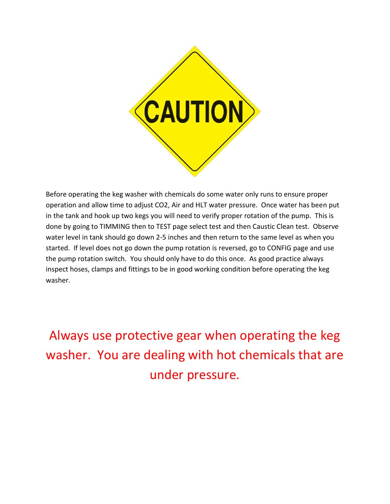

Before operating the keg washer with chemicals do some water only runs to ensure proper operation and allow time to adjust CO2, Air and HLT water pressure. Once water has been put in the tank and hook up two kegs you will need to verify proper rotation of the pump. This is done by going to TIMMING then to TEST page select test and then Caustic Clean test. Observe water level in tank should go down 2-5 inches and then return to the same level as when you started. If level does not go down the pump rotation is reversed, go to CONFIG page and use the pump rotation switch. You should only have to do this once. As good practice always inspect hoses, clamps and fittings to be in good working condition before operating the keg washer.

Always use protective gear when operating the keg washer. You are dealing with hot chemicals that are under pressure.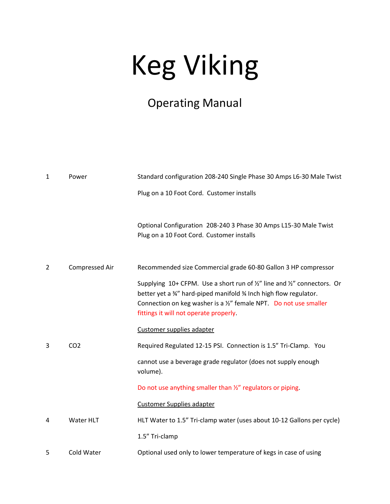# Keg Viking

### Operating Manual

| $\mathbf{1}$   | Power           | Standard configuration 208-240 Single Phase 30 Amps L6-30 Male Twist                                                                                                                                                                                         |
|----------------|-----------------|--------------------------------------------------------------------------------------------------------------------------------------------------------------------------------------------------------------------------------------------------------------|
|                |                 | Plug on a 10 Foot Cord. Customer installs                                                                                                                                                                                                                    |
|                |                 | Optional Configuration 208-240 3 Phase 30 Amps L15-30 Male Twist<br>Plug on a 10 Foot Cord. Customer installs                                                                                                                                                |
| $\overline{2}$ | Compressed Air  | Recommended size Commercial grade 60-80 Gallon 3 HP compressor                                                                                                                                                                                               |
|                |                 | Supplying 10+ CFPM. Use a short run of 1/2" line and 1/2" connectors. Or<br>better yet a 34" hard-piped manifold 34 Inch high flow regulator.<br>Connection on keg washer is a 1/2" female NPT. Do not use smaller<br>fittings it will not operate properly. |
|                |                 | Customer supplies adapter                                                                                                                                                                                                                                    |
| 3              | CO <sub>2</sub> | Required Regulated 12-15 PSI. Connection is 1.5" Tri-Clamp. You                                                                                                                                                                                              |
|                |                 | cannot use a beverage grade regulator (does not supply enough<br>volume).                                                                                                                                                                                    |
|                |                 | Do not use anything smaller than 1/2" regulators or piping.                                                                                                                                                                                                  |
|                |                 | <b>Customer Supplies adapter</b>                                                                                                                                                                                                                             |
| 4              | Water HLT       | HLT Water to 1.5" Tri-clamp water (uses about 10-12 Gallons per cycle)                                                                                                                                                                                       |
|                |                 | 1.5" Tri-clamp                                                                                                                                                                                                                                               |
| 5              | Cold Water      | Optional used only to lower temperature of kegs in case of using                                                                                                                                                                                             |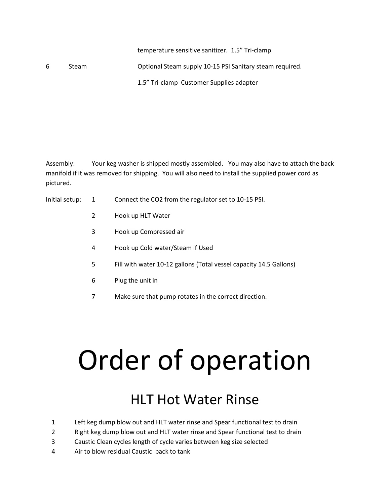#### temperature sensitive sanitizer. 1.5" Tri-clamp

6 Steam Optional Steam supply 10-15 PSI Sanitary steam required.

1.5" Tri-clamp Customer Supplies adapter

Assembly: Your keg washer is shipped mostly assembled. You may also have to attach the back manifold if it was removed for shipping. You will also need to install the supplied power cord as pictured.

- Initial setup: 1 Connect the CO2 from the regulator set to 10-15 PSI.
	- 2 Hook up HLT Water
	- 3 Hook up Compressed air
	- 4 Hook up Cold water/Steam if Used
	- 5 Fill with water 10-12 gallons (Total vessel capacity 14.5 Gallons)
	- 6 Plug the unit in
	- 7 Make sure that pump rotates in the correct direction.

# Order of operation

## **HIT Hot Water Rinse**

- 1 Left keg dump blow out and HLT water rinse and Spear functional test to drain
- 2 Right keg dump blow out and HLT water rinse and Spear functional test to drain
- 3 Caustic Clean cycles length of cycle varies between keg size selected
- 4 Air to blow residual Caustic back to tank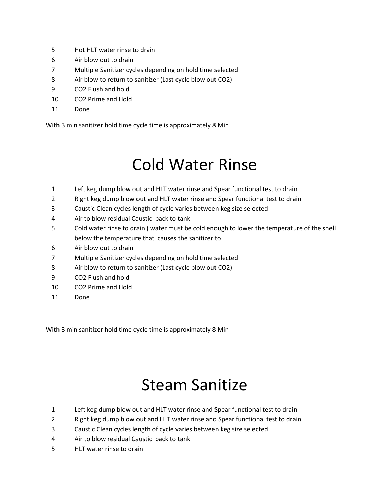- Hot HLT water rinse to drain
- Air blow out to drain
- Multiple Sanitizer cycles depending on hold time selected
- Air blow to return to sanitizer (Last cycle blow out CO2)
- CO2 Flush and hold
- CO2 Prime and Hold
- Done

With 3 min sanitizer hold time cycle time is approximately 8 Min

## Cold Water Rinse

- Left keg dump blow out and HLT water rinse and Spear functional test to drain
- Right keg dump blow out and HLT water rinse and Spear functional test to drain
- Caustic Clean cycles length of cycle varies between keg size selected
- Air to blow residual Caustic back to tank
- Cold water rinse to drain ( water must be cold enough to lower the temperature of the shell below the temperature that causes the sanitizer to
- Air blow out to drain
- Multiple Sanitizer cycles depending on hold time selected
- Air blow to return to sanitizer (Last cycle blow out CO2)
- CO2 Flush and hold
- CO2 Prime and Hold
- Done

With 3 min sanitizer hold time cycle time is approximately 8 Min

## Steam Sanitize

- Left keg dump blow out and HLT water rinse and Spear functional test to drain
- Right keg dump blow out and HLT water rinse and Spear functional test to drain
- Caustic Clean cycles length of cycle varies between keg size selected
- Air to blow residual Caustic back to tank
- HLT water rinse to drain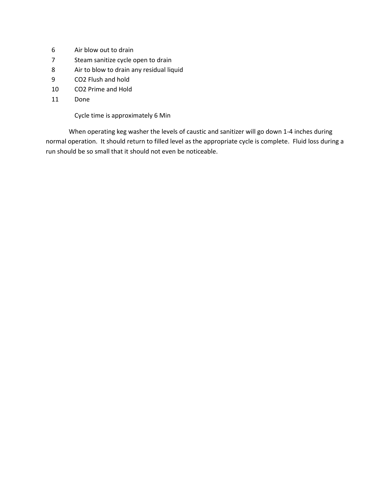- 6 Air blow out to drain
- 7 Steam sanitize cycle open to drain
- 8 Air to blow to drain any residual liquid
- 9 CO2 Flush and hold
- 10 CO2 Prime and Hold
- 11 Done

Cycle time is approximately 6 Min

When operating keg washer the levels of caustic and sanitizer will go down 1-4 inches during normal operation. It should return to filled level as the appropriate cycle is complete. Fluid loss during a run should be so small that it should not even be noticeable.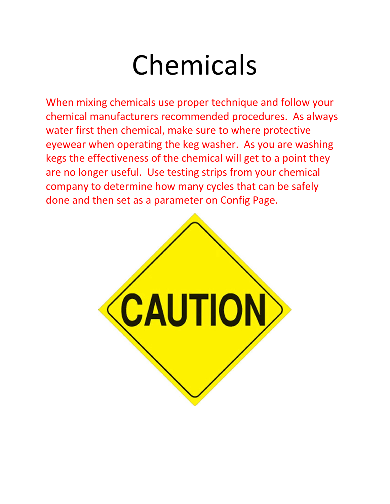## Chemicals

When mixing chemicals use proper technique and follow your chemical manufacturers recommended procedures. As always water first then chemical, make sure to where protective eyewear when operating the keg washer. As you are washing kegs the effectiveness of the chemical will get to a point they are no longer useful. Use testing strips from your chemical company to determine how many cycles that can be safely done and then set as a parameter on Config Page.

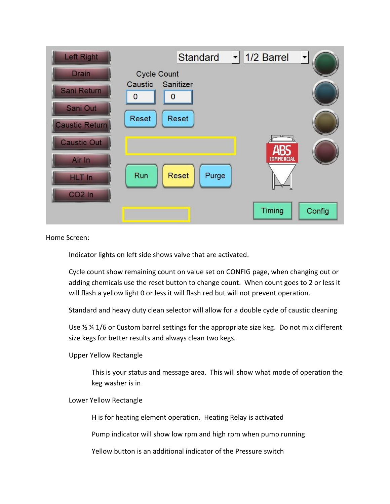| <b>Left Right</b>  | <b>Standard</b>                | $\vert \cdot \vert$ 1/2 Barrel  |
|--------------------|--------------------------------|---------------------------------|
| <b>Drain</b>       | <b>Cycle Count</b>             |                                 |
| <b>Sani Return</b> | Sanitizer<br>Caustic<br>0<br>0 |                                 |
| Sani Out           |                                |                                 |
| Caustic Return     | Reset<br>Reset                 |                                 |
| <b>Caustic Out</b> |                                |                                 |
| Air In             |                                | <b>ARS</b><br><b>COMMERCIAL</b> |
| <b>HLT</b> In      | Run<br>Purge<br><b>Reset</b>   |                                 |
| $CO2$ In           |                                |                                 |
|                    |                                | Timing<br>Config                |
|                    |                                |                                 |

Home Screen:

Indicator lights on left side shows valve that are activated.

Cycle count show remaining count on value set on CONFIG page, when changing out or adding chemicals use the reset button to change count. When count goes to 2 or less it will flash a yellow light 0 or less it will flash red but will not prevent operation.

Standard and heavy duty clean selector will allow for a double cycle of caustic cleaning

Use ½ ¼ 1/6 or Custom barrel settings for the appropriate size keg. Do not mix different size kegs for better results and always clean two kegs.

Upper Yellow Rectangle

This is your status and message area. This will show what mode of operation the keg washer is in

Lower Yellow Rectangle

H is for heating element operation. Heating Relay is activated

Pump indicator will show low rpm and high rpm when pump running

Yellow button is an additional indicator of the Pressure switch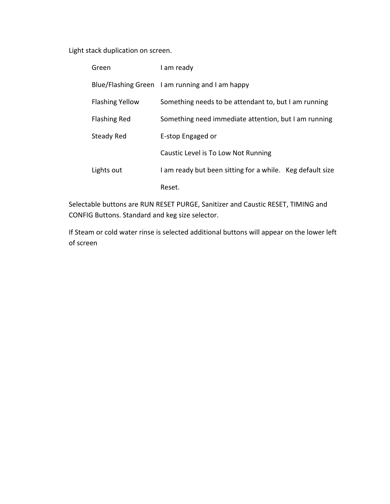Light stack duplication on screen.

| Green                  | I am ready                                                |
|------------------------|-----------------------------------------------------------|
|                        | Blue/Flashing Green I am running and I am happy           |
| <b>Flashing Yellow</b> | Something needs to be attendant to, but I am running      |
| <b>Flashing Red</b>    | Something need immediate attention, but I am running      |
| Steady Red             | E-stop Engaged or                                         |
|                        | Caustic Level is To Low Not Running                       |
| Lights out             | I am ready but been sitting for a while. Keg default size |
|                        | Reset.                                                    |

Selectable buttons are RUN RESET PURGE, Sanitizer and Caustic RESET, TIMING and CONFIG Buttons. Standard and keg size selector.

If Steam or cold water rinse is selected additional buttons will appear on the lower left of screen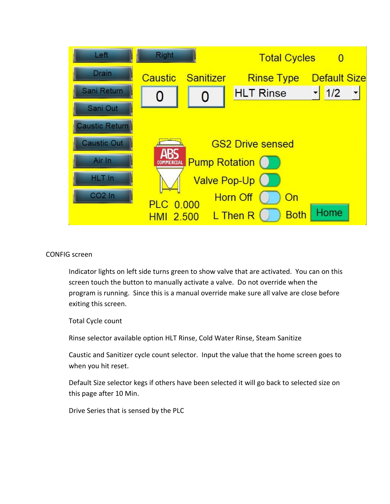

#### CONFIG screen

Indicator lights on left side turns green to show valve that are activated. You can on this screen touch the button to manually activate a valve. Do not override when the program is running. Since this is a manual override make sure all valve are close before exiting this screen.

Total Cycle count

Rinse selector available option HLT Rinse, Cold Water Rinse, Steam Sanitize

Caustic and Sanitizer cycle count selector. Input the value that the home screen goes to when you hit reset.

Default Size selector kegs if others have been selected it will go back to selected size on this page after 10 Min.

Drive Series that is sensed by the PLC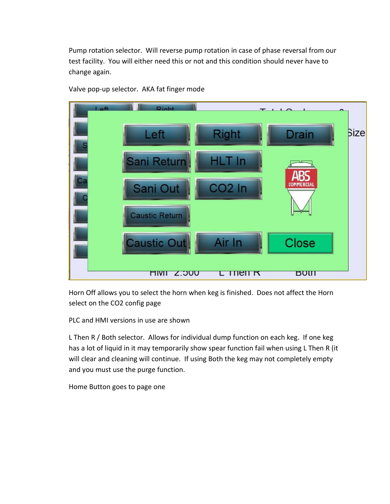Pump rotation selector. Will reverse pump rotation in case of phase reversal from our test facility. You will either need this or not and this condition should never have to change again.



Valve pop-up selector. AKA fat finger mode

Horn Off allows you to select the horn when keg is finished. Does not affect the Horn select on the CO2 config page

PLC and HMI versions in use are shown

L Then R / Both selector. Allows for individual dump function on each keg. If one keg has a lot of liquid in it may temporarily show spear function fail when using L Then R (it will clear and cleaning will continue. If using Both the keg may not completely empty and you must use the purge function.

Home Button goes to page one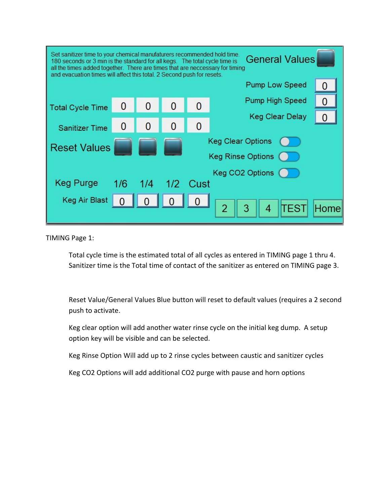| Set sanitizer time to your chemical manufaturers recommended hold time.<br><b>General Values</b><br>180 seconds or 3 min is the standard for all kegs. The total cycle time is<br>all the times added together. There are times that are neccessary for timing<br>and evacuation times will affect this total. 2 Second push for resets. |     |                |                |                |                                    |      |  |
|------------------------------------------------------------------------------------------------------------------------------------------------------------------------------------------------------------------------------------------------------------------------------------------------------------------------------------------|-----|----------------|----------------|----------------|------------------------------------|------|--|
| <b>Pump Low Speed</b>                                                                                                                                                                                                                                                                                                                    |     |                |                |                |                                    |      |  |
| <b>Total Cycle Time</b>                                                                                                                                                                                                                                                                                                                  | 0   | $\overline{0}$ |                | $\Omega$       | <b>Pump High Speed</b>             | 0    |  |
| <b>Sanitizer Time</b>                                                                                                                                                                                                                                                                                                                    | 0   | 0              | $\overline{0}$ | $\overline{0}$ | <b>Keg Clear Delay</b>             |      |  |
| <b>Keg Clear Options</b><br><b>Reset Values</b><br><b>Keg Rinse Options</b>                                                                                                                                                                                                                                                              |     |                |                |                |                                    |      |  |
| <b>Keg Purge</b>                                                                                                                                                                                                                                                                                                                         | 1/6 | 1/4            |                | 1/2 Cust       | Keg CO2 Options                    |      |  |
| Keg Air Blast                                                                                                                                                                                                                                                                                                                            |     |                |                |                | $\overline{4}$<br>3<br><b>TEST</b> | Home |  |

TIMING Page 1:

Total cycle time is the estimated total of all cycles as entered in TIMING page 1 thru 4. Sanitizer time is the Total time of contact of the sanitizer as entered on TIMING page 3.

Reset Value/General Values Blue button will reset to default values (requires a 2 second push to activate.

Keg clear option will add another water rinse cycle on the initial keg dump. A setup option key will be visible and can be selected.

Keg Rinse Option Will add up to 2 rinse cycles between caustic and sanitizer cycles

Keg CO2 Options will add additional CO2 purge with pause and horn options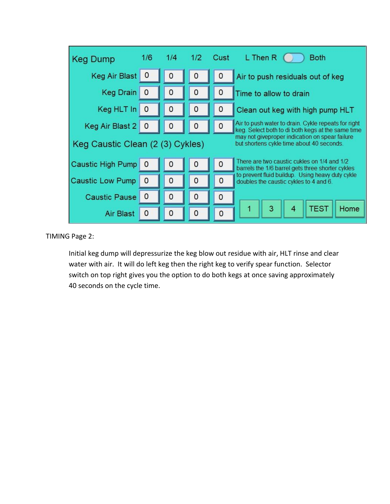| <b>Keg Dump</b>                                                                                                                 | 1/6         |                |          | 1/4 1/2 Cust   | L Then R<br><b>Both</b>                                                                                  |
|---------------------------------------------------------------------------------------------------------------------------------|-------------|----------------|----------|----------------|----------------------------------------------------------------------------------------------------------|
| <b>Keg Air Blast</b>                                                                                                            | 0           | $\Omega$       | 0        | $\overline{0}$ | Air to push residuals out of keg                                                                         |
| <b>Keg Drain</b>                                                                                                                | $\mathbf 0$ | $\mathbf{0}$   | 0        | $\mathbf 0$    | Time to allow to drain                                                                                   |
| Keg HLT In                                                                                                                      | 0           | $\overline{0}$ | 0        | $\mathbf 0$    | Clean out keg with high pump HLT                                                                         |
| Keg Air Blast 2                                                                                                                 | $\Omega$    | $\Omega$       | 0        | 0              | Air to push water to drain. Cykle repeats for right<br>keg. Select both to di both kegs at the same time |
| may not giveproper indication on spear failure<br>Keg Caustic Clean (2 (3) Cykles)<br>but shortens cykle time about 40 seconds. |             |                |          |                |                                                                                                          |
| <b>Caustic High Pump</b>                                                                                                        | $\circ$     | $\circ$        | 0        | $\mathbf 0$    | There are two caustic cukles on 1/4 and 1/2<br>barrels the 1/6 barrel gets three shorter cykles          |
| <b>Caustic Low Pump</b>                                                                                                         | 0           | $\overline{0}$ | 0        | $\circ$        | to prevent fluid buildup. Using heavy duty cykle<br>doubles the caustic cykles to 4 and 6.               |
| <b>Caustic Pause</b>                                                                                                            | $\mathbf 0$ | $\mathbf{0}$   | 0        | $\mathbf 0$    |                                                                                                          |
| <b>Air Blast</b>                                                                                                                | O           | $\Omega$       | $\Omega$ | $\Omega$       | 4<br><b>TEST</b><br>3<br>Home                                                                            |

### TIMING Page 2:

Initial keg dump will depressurize the keg blow out residue with air, HLT rinse and clear water with air. It will do left keg then the right keg to verify spear function. Selector switch on top right gives you the option to do both kegs at once saving approximately 40 seconds on the cycle time.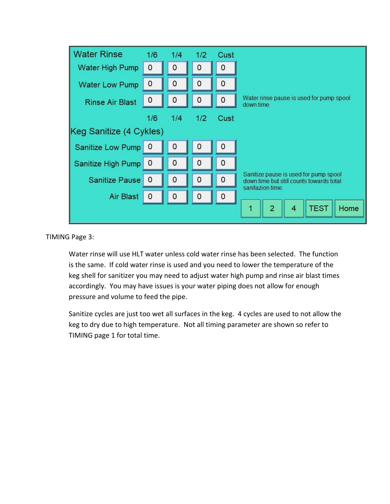

TIMING Page 3:

Water rinse will use HLT water unless cold water rinse has been selected. The function is the same. If cold water rinse is used and you need to lower the temperature of the keg shell for sanitizer you may need to adjust water high pump and rinse air blast times accordingly. You may have issues is your water piping does not allow for enough pressure and volume to feed the pipe.

Sanitize cycles are just too wet all surfaces in the keg. 4 cycles are used to not allow the keg to dry due to high temperature. Not all timing parameter are shown so refer to TIMING page 1 for total time.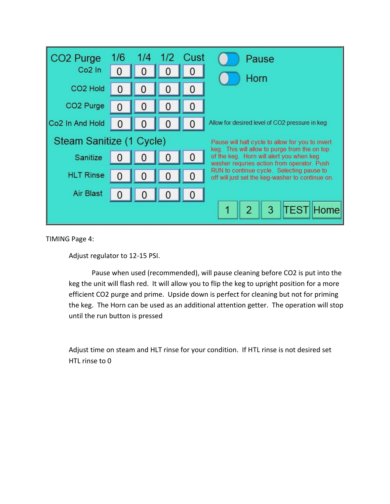| CO <sub>2</sub> Purge       |                                                                              |                |                | 1/6  1/4  1/2  Cust | Pause                                                                                                                                   |  |  |
|-----------------------------|------------------------------------------------------------------------------|----------------|----------------|---------------------|-----------------------------------------------------------------------------------------------------------------------------------------|--|--|
| Co <sub>2</sub> In          |                                                                              |                |                |                     | Horn                                                                                                                                    |  |  |
| CO <sub>2</sub> Hold        |                                                                              |                |                |                     |                                                                                                                                         |  |  |
| CO <sub>2</sub> Purge       |                                                                              | 0              |                |                     |                                                                                                                                         |  |  |
| Co <sub>2</sub> In And Hold | 0                                                                            | $\overline{0}$ |                |                     | Allow for desired level of CO2 pressure in keg                                                                                          |  |  |
|                             | Steam Sanitize (1 Cycle)<br>Pause will halt cycle to allow for you to invert |                |                |                     |                                                                                                                                         |  |  |
| Sanitize                    |                                                                              | $\overline{0}$ | $\overline{0}$ | 0                   | keg. This will allow to purge from the on top<br>of the keg. Horn will alert you when keg<br>washer requries action from operator. Push |  |  |
| <b>HLT Rinse</b>            |                                                                              |                |                |                     | RUN to continue cycle. Selecting pause to<br>off will just set the keg-washer to continue on.                                           |  |  |
| Air Blast                   | O                                                                            |                | $\overline{0}$ |                     |                                                                                                                                         |  |  |
|                             |                                                                              |                |                |                     | <b>TEST</b><br>Home<br>2<br>3                                                                                                           |  |  |

TIMING Page 4:

Adjust regulator to 12-15 PSI.

Pause when used (recommended), will pause cleaning before CO2 is put into the keg the unit will flash red. It will allow you to flip the keg to upright position for a more efficient CO2 purge and prime. Upside down is perfect for cleaning but not for priming the keg. The Horn can be used as an additional attention getter. The operation will stop until the run button is pressed

Adjust time on steam and HLT rinse for your condition. If HTL rinse is not desired set HTL rinse to 0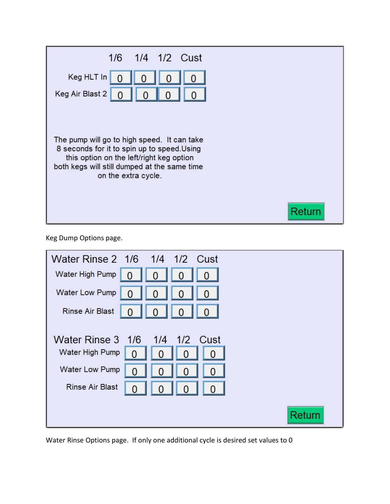

Keg Dump Options page.

| Water Rinse 2 1/6 1/4 1/2 Cust |
|--------------------------------|
| Water High Pump                |
| Water Low Pump                 |
| Rinse Air Blast                |
|                                |
| Water Rinse 3 1/6 1/4 1/2 Cust |
| Water High Pump<br>0           |
| Water Low Pump<br>0            |
| <b>Rinse Air Blast</b><br>0    |
|                                |
| Return                         |

Water Rinse Options page. If only one additional cycle is desired set values to 0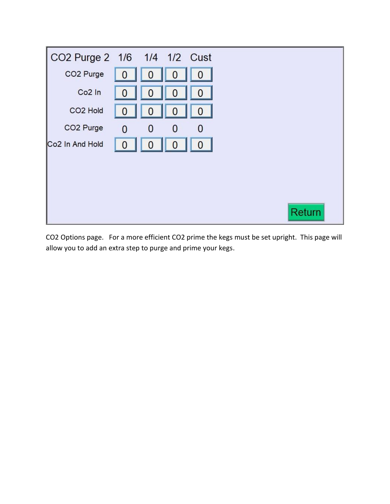

CO2 Options page. For a more efficient CO2 prime the kegs must be set upright. This page will allow you to add an extra step to purge and prime your kegs.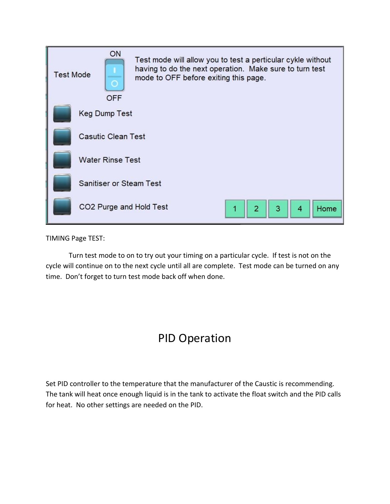

TIMING Page TEST:

Turn test mode to on to try out your timing on a particular cycle. If test is not on the cycle will continue on to the next cycle until all are complete. Test mode can be turned on any time. Don't forget to turn test mode back off when done.

### PID Operation

Set PID controller to the temperature that the manufacturer of the Caustic is recommending. The tank will heat once enough liquid is in the tank to activate the float switch and the PID calls for heat. No other settings are needed on the PID.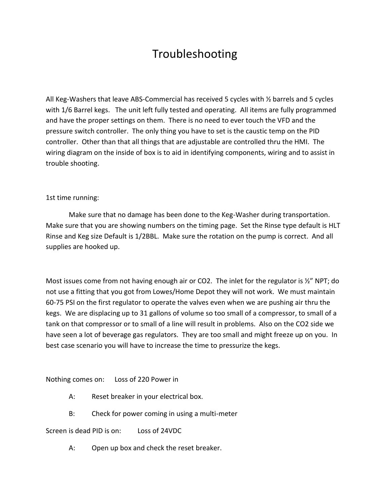### Troubleshooting

All Keg-Washers that leave ABS-Commercial has received 5 cycles with  $\frac{1}{2}$  barrels and 5 cycles with 1/6 Barrel kegs. The unit left fully tested and operating. All items are fully programmed and have the proper settings on them. There is no need to ever touch the VFD and the pressure switch controller. The only thing you have to set is the caustic temp on the PID controller. Other than that all things that are adjustable are controlled thru the HMI. The wiring diagram on the inside of box is to aid in identifying components, wiring and to assist in trouble shooting.

#### 1st time running:

Make sure that no damage has been done to the Keg-Washer during transportation. Make sure that you are showing numbers on the timing page. Set the Rinse type default is HLT Rinse and Keg size Default is 1/2BBL. Make sure the rotation on the pump is correct. And all supplies are hooked up.

Most issues come from not having enough air or CO2. The inlet for the regulator is  $\frac{1}{2}$ " NPT; do not use a fitting that you got from Lowes/Home Depot they will not work. We must maintain 60-75 PSI on the first regulator to operate the valves even when we are pushing air thru the kegs. We are displacing up to 31 gallons of volume so too small of a compressor, to small of a tank on that compressor or to small of a line will result in problems. Also on the CO2 side we have seen a lot of beverage gas regulators. They are too small and might freeze up on you. In best case scenario you will have to increase the time to pressurize the kegs.

Nothing comes on: Loss of 220 Power in

- A: Reset breaker in your electrical box.
- B: Check for power coming in using a multi-meter

Screen is dead PID is on: Loss of 24VDC

A: Open up box and check the reset breaker.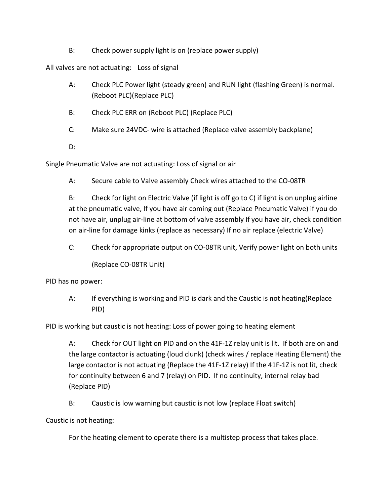B: Check power supply light is on (replace power supply)

All valves are not actuating: Loss of signal

- A: Check PLC Power light (steady green) and RUN light (flashing Green) is normal. (Reboot PLC)(Replace PLC)
- B: Check PLC ERR on (Reboot PLC) (Replace PLC)
- C: Make sure 24VDC- wire is attached (Replace valve assembly backplane)

D:

Single Pneumatic Valve are not actuating: Loss of signal or air

A: Secure cable to Valve assembly Check wires attached to the CO-08TR

B: Check for light on Electric Valve (if light is off go to C) if light is on unplug airline at the pneumatic valve, If you have air coming out (Replace Pneumatic Valve) if you do not have air, unplug air-line at bottom of valve assembly If you have air, check condition on air-line for damage kinks (replace as necessary) If no air replace (electric Valve)

C: Check for appropriate output on CO-08TR unit, Verify power light on both units

(Replace CO-08TR Unit)

PID has no power:

A: If everything is working and PID is dark and the Caustic is not heating(Replace PID)

PID is working but caustic is not heating: Loss of power going to heating element

A: Check for OUT light on PID and on the 41F-1Z relay unit is lit. If both are on and the large contactor is actuating (loud clunk) (check wires / replace Heating Element) the large contactor is not actuating (Replace the 41F-1Z relay) If the 41F-1Z is not lit, check for continuity between 6 and 7 (relay) on PID. If no continuity, internal relay bad (Replace PID)

B: Caustic is low warning but caustic is not low (replace Float switch)

Caustic is not heating:

For the heating element to operate there is a multistep process that takes place.